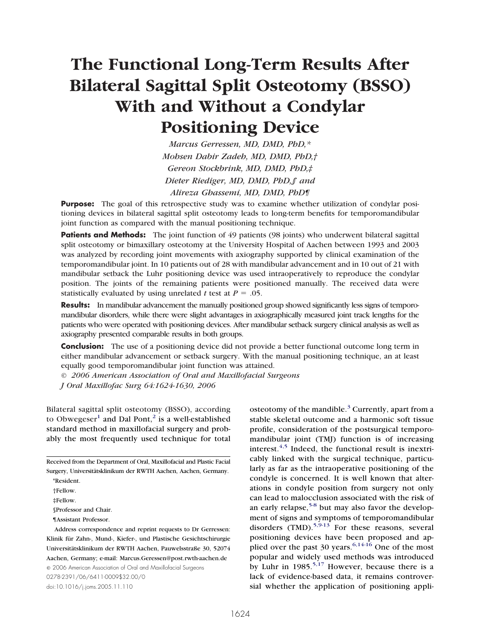# **The Functional Long-Term Results After Bilateral Sagittal Split Osteotomy (BSSO) With and Without a Condylar Positioning Device**

*Marcus Gerressen, MD, DMD, PhD,\* Mohsen Dabir Zadeh, MD, DMD, PhD,† Gereon Stockbrink, MD, DMD, PhD,‡ Dieter Riediger, MD, DMD, PhD,§ and Alireza Ghassemi, MD, DMD, PhD¶*

**Purpose:** The goal of this retrospective study was to examine whether utilization of condylar positioning devices in bilateral sagittal split osteotomy leads to long-term benefits for temporomandibular joint function as compared with the manual positioning technique.

**Patients and Methods:** The joint function of 49 patients (98 joints) who underwent bilateral sagittal split osteotomy or bimaxillary osteotomy at the University Hospital of Aachen between 1993 and 2003 was analyzed by recording joint movements with axiography supported by clinical examination of the temporomandibular joint. In 10 patients out of 28 with mandibular advancement and in 10 out of 21 with mandibular setback the Luhr positioning device was used intraoperatively to reproduce the condylar position. The joints of the remaining patients were positioned manually. The received data were statistically evaluated by using unrelated *t* test at  $P = .05$ .

**Results:** In mandibular advancement the manually positioned group showed significantly less signs of temporomandibular disorders, while there were slight advantages in axiographically measured joint track lengths for the patients who were operated with positioning devices. After mandibular setback surgery clinical analysis as well as axiography presented comparable results in both groups.

**Conclusion:** The use of a positioning device did not provide a better functional outcome long term in either mandibular advancement or setback surgery. With the manual positioning technique, an at least equally good temporomandibular joint function was attained.

*© 2006 American Association of Oral and Maxillofacial Surgeons*

*J Oral Maxillofac Surg 64:1624-1630, 2006*

Bilateral sagittal split osteotomy (BSSO), according to Obwegeser<sup>[1](#page-5-0)</sup> and Dal Pont,<sup>[2](#page-5-0)</sup> is a well-established standard method in maxillofacial surgery and probably the most frequently used technique for total

Received from the Department of Oral, Maxillofacial and Plastic Facial Surgery, Universitätsklinikum der RWTH Aachen, Aachen, Germany.

§Professor and Chair.

¶Assistant Professor.

© 2006 American Association of Oral and Maxillofacial Surgeons 0278-2391/06/6411-0009\$32.00/0

doi:10.1016/j.joms.2005.11.110

osteotomy of the mandible.<sup>[3](#page-5-0)</sup> Currently, apart from a stable skeletal outcome and a harmonic soft tissue profile, consideration of the postsurgical temporomandibular joint (TMJ) function is of increasing interest. $4,5$  Indeed, the functional result is inextricably linked with the surgical technique, particularly as far as the intraoperative positioning of the condyle is concerned. It is well known that alterations in condyle position from surgery not only can lead to malocclusion associated with the risk of an early relapse,  $5-8$  but may also favor the development of signs and symptoms of temporomandibular disorders  $(TMD)$ .<sup>[5,9-13](#page-5-0)</sup> For these reasons, several positioning devices have been proposed and applied over the past  $30$  years.<sup>[6,14-16](#page-5-0)</sup> One of the most popular and widely used methods was introduced by Luhr in  $1985$ <sup>[5,17](#page-5-0)</sup> However, because there is a lack of evidence-based data, it remains controversial whether the application of positioning appli-

<sup>\*</sup>Resident.

<sup>†</sup>Fellow.

<sup>‡</sup>Fellow.

Address correspondence and reprint requests to Dr Gerressen: Klinik für Zahn-, Mund-, Kiefer-, und Plastische Gesichtschirurgie Universitätsklinikum der RWTH Aachen, Pauwelsstraße 30, 52074 Aachen, Germany; e-mail: Marcus.Geressen@post.rwth-aachen.de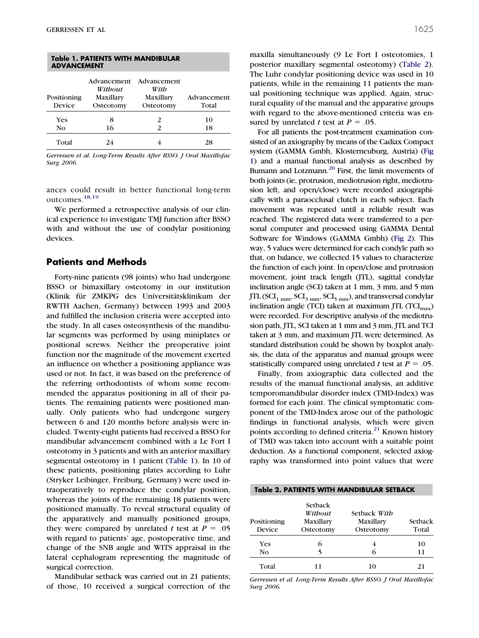| Table 1. PATIENTS WITH MANDIBULAR<br><b>ADVANCEMENT</b> |                                                  |                                               |                      |  |  |
|---------------------------------------------------------|--------------------------------------------------|-----------------------------------------------|----------------------|--|--|
| Positioning<br>Device                                   | Advancement<br>Without<br>Maxillary<br>Osteotomy | Advancement<br>With<br>Maxillary<br>Osteotomy | Advancement<br>Total |  |  |
| <b>Yes</b><br>No                                        | 8<br>16                                          | 2<br>2                                        | 10<br>18             |  |  |
| Total                                                   | 24                                               |                                               | 28                   |  |  |

*Gerressen et al. Long-Term Results After BSSO. J Oral Maxillofac Surg 2006.*

ances could result in better functional long-term outcomes.<sup>[18,19](#page-6-0)</sup>

We performed a retrospective analysis of our clinical experience to investigate TMJ function after BSSO with and without the use of condylar positioning devices.

## **Patients and Methods**

Forty-nine patients (98 joints) who had undergone BSSO or bimaxillary osteotomy in our institution (Klinik für ZMKPG des Universitätsklinikum der RWTH Aachen, Germany) between 1993 and 2003 and fulfilled the inclusion criteria were accepted into the study. In all cases osteosynthesis of the mandibular segments was performed by using miniplates or positional screws. Neither the preoperative joint function nor the magnitude of the movement exerted an influence on whether a positioning appliance was used or not. In fact, it was based on the preference of the referring orthodontists of whom some recommended the apparatus positioning in all of their patients. The remaining patients were positioned manually. Only patients who had undergone surgery between 6 and 120 months before analysis were included. Twenty-eight patients had received a BSSO for mandibular advancement combined with a Le Fort I osteotomy in 3 patients and with an anterior maxillary segmental osteotomy in 1 patient (Table 1). In 10 of these patients, positioning plates according to Luhr (Stryker Leibinger, Freiburg, Germany) were used intraoperatively to reproduce the condylar position, whereas the joints of the remaining 18 patients were positioned manually. To reveal structural equality of the apparatively and manually positioned groups, they were compared by unrelated *t* test at  $P = .05$ with regard to patients' age, postoperative time, and change of the SNB angle and WITS appraisal in the lateral cephalogram representing the magnitude of surgical correction.

Mandibular setback was carried out in 21 patients; of those, 10 received a surgical correction of the maxilla simultaneously (9 Le Fort I osteotomies, 1 posterior maxillary segmental osteotomy) (Table 2). The Luhr condylar positioning device was used in 10 patients, while in the remaining 11 patients the manual positioning technique was applied. Again, structural equality of the manual and the apparative groups with regard to the above-mentioned criteria was ensured by unrelated *t* test at  $P = .05$ .

For all patients the post-treatment examination consisted of an axiography by means of the Cadiax Compact system (GAMMA Gmbh, Klosterneuburg, Austria) [\(Fig](#page-2-0) [1\)](#page-2-0) and a manual functional analysis as described by Bumann and Lotzmann.<sup>20</sup> First, the limit movements of both joints (ie, protrusion, mediotrusion right, mediotrusion left, and open/close) were recorded axiographically with a paraocclusal clutch in each subject. Each movement was repeated until a reliable result was reached. The registered data were transferred to a personal computer and processed using GAMMA Dental Software for Windows (GAMMA Gmbh) [\(Fig 2\)](#page-2-0). This way, 5 values were determined for each condyle path so that, on balance, we collected 15 values to characterize the function of each joint. In open/close and protrusion movement, joint track length (JTL), sagittal condylar inclination angle (SCI) taken at 1 mm, 3 mm, and 5 mm JTL ( $\text{SCI}_{1\text{ mm}}$ ,  $\text{SCI}_{3\text{ mm}}$ ,  $\text{SCI}_{5\text{ mm}}$ ), and transversal condylar inclination angle (TCI) taken at maximum JTL  $(TCI_{max})$ were recorded. For descriptive analysis of the mediotrusion path, JTL, SCI taken at 1 mm and 3 mm, JTL and TCI taken at 3 mm, and maximum JTL were determined. As standard distribution could be shown by boxplot analysis, the data of the apparatus and manual groups were statistically compared using unrelated *t* test at  $P = .05$ .

Finally, from axiographic data collected and the results of the manual functional analysis, an additive temporomandibular disorder index (TMD-Index) was formed for each joint. The clinical symptomatic component of the TMD-Index arose out of the pathologic findings in functional analysis, which were given points according to defined criteria.<sup>[21](#page-6-0)</sup> Known history of TMD was taken into account with a suitable point deduction. As a functional component, selected axiography was transformed into point values that were

|                       |                                              | Table 2. PATIENTS WITH MANDIBULAR SETBACK |                  |  |
|-----------------------|----------------------------------------------|-------------------------------------------|------------------|--|
| Positioning<br>Device | Setback<br>Without<br>Maxillary<br>Osteotomy | Setback With<br>Maxillary<br>Osteotomy    | Setback<br>Total |  |
| <b>Yes</b>            | 6                                            |                                           | 10               |  |
| No                    | 5                                            |                                           | 11               |  |
| Total                 |                                              | 10                                        | 21               |  |

*Gerressen et al. Long-Term Results After BSSO. J Oral Maxillofac Surg 2006.*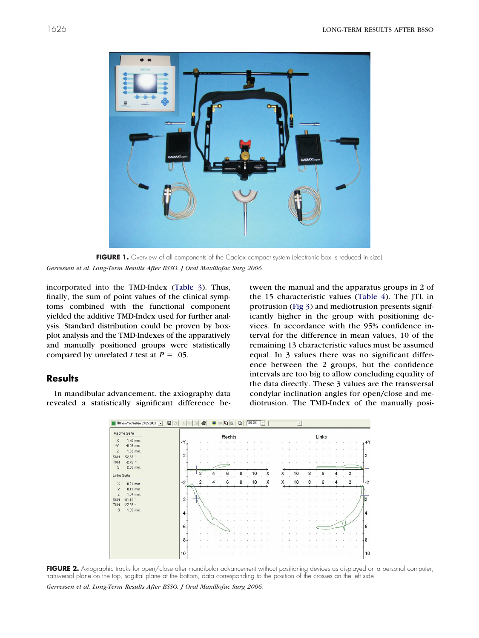<span id="page-2-0"></span>

FIGURE 1. Overview of all components of the Cadiax compact system (electronic box is reduced in size). *Gerressen et al. Long-Term Results After BSSO. J Oral Maxillofac Surg 2006.*

incorporated into the TMD-Index [\(Table 3\)](#page-3-0). Thus, finally, the sum of point values of the clinical symptoms combined with the functional component yielded the additive TMD-Index used for further analysis. Standard distribution could be proven by boxplot analysis and the TMD-Indexes of the apparatively and manually positioned groups were statistically compared by unrelated *t* test at  $P = .05$ .

## **Results**

In mandibular advancement, the axiography data revealed a statistically significant difference between the manual and the apparatus groups in 2 of the 15 characteristic values [\(Table 4\)](#page-3-0). The JTL in protrusion [\(Fig 3\)](#page-4-0) and mediotrusion presents significantly higher in the group with positioning devices. In accordance with the 95% confidence interval for the difference in mean values, 10 of the remaining 13 characteristic values must be assumed equal. In 3 values there was no significant difference between the 2 groups, but the confidence intervals are too big to allow concluding equality of the data directly. These 3 values are the transversal condylar inclination angles for open/close and mediotrusion. The TMD-Index of the manually posi-



FIGURE 2. Axiographic tracks for open/close after mandibular advancement without positioning devices as displayed on a personal computer; transversal plane on the top, sagittal plane at the bottom, data corresponding to the position of the crosses on the left side.

*Gerressen et al. Long-Term Results After BSSO. J Oral Maxillofac Surg 2006.*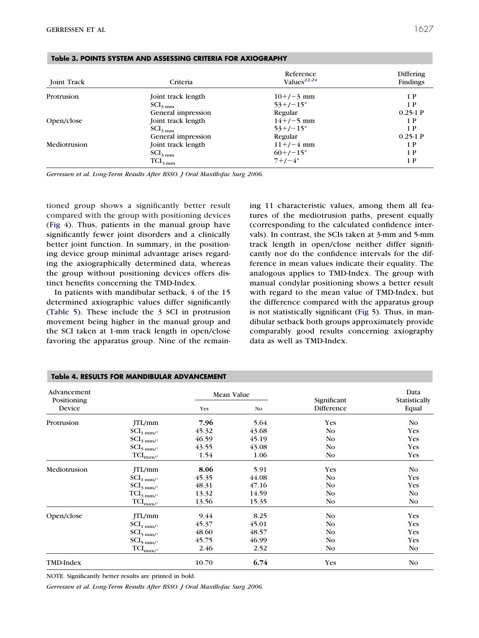| <b>Joint Track</b> | Criteria                    | Reference<br>Values <sup>22-24</sup> | <b>Differing</b><br>Findings |
|--------------------|-----------------------------|--------------------------------------|------------------------------|
| Protrusion         | Joint track length          | $10+/-3$ mm                          | 1 P                          |
|                    | $\text{SCI}_{3 \text{ mm}}$ | $53+/-15^{\circ}$                    | 1 P                          |
|                    | General impression          | Regular                              | $0.25-1$ P                   |
| Open/close         | Joint track length          | $14+/-5$ mm                          | 1 P                          |
|                    | $\text{SCI}_{3 \text{ mm}}$ | $53+/-15^{\circ}$                    | 1 P                          |
|                    | General impression          | Regular                              | $0.25-1$ P                   |
| Mediotrusion       | Joint track length          | $11+/-4$ mm                          | 1 P                          |
|                    | $\text{SCI}_{3 \text{ mm}}$ | $60+/-15^{\circ}$                    | 1 P                          |
|                    | $TCI_{3\,mm}$               | $7+/-4^{\circ}$                      | 1 P                          |

#### <span id="page-3-0"></span>**Table 3. POINTS SYSTEM AND ASSESSING CRITERIA FOR AXIOGRAPHY**

*Gerressen et al. Long-Term Results After BSSO. J Oral Maxillofac Surg 2006.*

tioned group shows a significantly better result compared with the group with positioning devices [\(Fig 4\)](#page-4-0). Thus, patients in the manual group have significantly fewer joint disorders and a clinically better joint function. In summary, in the positioning device group minimal advantage arises regarding the axiographically determined data, whereas the group without positioning devices offers distinct benefits concerning the TMD-Index.

In patients with mandibular setback, 4 of the 15 determined axiographic values differ significantly [\(Table 5\)](#page-4-0). These include the 3 SCI in protrusion movement being higher in the manual group and the SCI taken at 1-mm track length in open/close favoring the apparatus group. Nine of the remaining 11 characteristic values, among them all features of the mediotrusion paths, present equally (corresponding to the calculated confidence intervals). In contrast, the SCIs taken at 3-mm and 5-mm track length in open/close neither differ significantly nor do the confidence intervals for the difference in mean values indicate their equality. The analogous applies to TMD-Index. The group with manual condylar positioning shows a better result with regard to the mean value of TMD-Index, but the difference compared with the apparatus group is not statistically significant [\(Fig 5\)](#page-5-0). Thus, in mandibular setback both groups approximately provide comparably good results concerning axiography data as well as TMD-Index.

| Advancement<br>Positioning |                                        | Mean Value |       | Significant | Data<br>Statistically |
|----------------------------|----------------------------------------|------------|-------|-------------|-----------------------|
| Device                     |                                        | Yes        | No    | Difference  | Equal                 |
| Protrusion                 | JTL/mm                                 | 7.96       | 5.64  | <b>Yes</b>  | No                    |
|                            | $\text{SCI}_{1\text{ mm/}^{\circ}}$    | 45.32      | 43.68 | No          | <b>Yes</b>            |
|                            | $\text{SCI}_{3\text{ mm} / ^{\circ}}$  | 46.59      | 45.19 | No          | <b>Yes</b>            |
|                            | $\text{SCI}_{5\,\text{mm} / ^{\circ}}$ | 43.55      | 43.08 | No          | <b>Yes</b>            |
|                            | $TCI_{\text{max} / \text{°}}$          | 1.54       | 1.06  | No          | <b>Yes</b>            |
| Mediotrusion               | JTL/mm                                 | 8.06       | 5.91  | <b>Yes</b>  | No                    |
|                            | $\text{SCI}_{1\text{ mm} / ^{\circ}}$  | 45.35      | 44.08 | No          | <b>Yes</b>            |
|                            | $\text{SCI}_{3\text{ mm} / ^{\circ}}$  | 48.31      | 47.16 | No          | <b>Yes</b>            |
|                            | $TCI_{3\,mm/°}$                        | 13.32      | 14.59 | No          | N <sub>o</sub>        |
|                            | $\text{TCI}_{\text{max/}^{\circ}}$     | 13.56      | 15.35 | No          | No                    |
| Open/close                 | JTL/mm                                 | 9.44       | 8.25  | No          | Yes                   |
|                            | $\text{SCI}_{1\text{ mm} / ^{\circ}}$  | 45.37      | 45.01 | No          | <b>Yes</b>            |
|                            | $\text{SCI}_{3 \text{ mm/s}}$          | 48.60      | 48.57 | No          | Yes                   |
|                            | $\text{SCI}_{5\,\text{mm}/^\circ}$     | 45.75      | 46.99 | No          | <b>Yes</b>            |
|                            | $TCI_{\text{max}/\text{C}}$            | 2.46       | 2.52  | No          | N <sub>o</sub>        |
| TMD-Index                  |                                        | 10.70      | 6.74  | <b>Yes</b>  | No                    |

### **Table 4. RESULTS FOR MANDIBULAR ADVANCEMENT**

NOTE. Significantly better results are printed in bold.

*Gerressen et al. Long-Term Results After BSSO. J Oral Maxillofac Surg 2006.*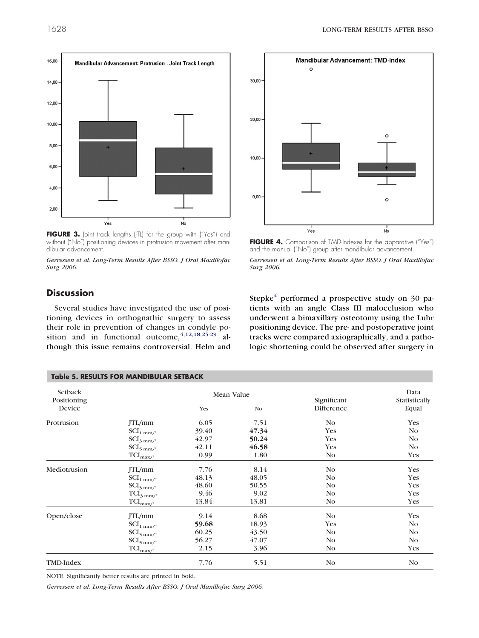

FIGURE 3. Joint track lengths (JTL) for the group with ("Yes") and without ("No") positioning devices in protrusion movement after mandibular advancement.

*Gerressen et al. Long-Term Results After BSSO. J Oral Maxillofac Surg 2006.*

<span id="page-4-0"></span>



FIGURE 4. Comparison of TMD-Indexes for the apparative ("Yes") and the manual ("No") group after mandibular advancement. *Gerressen et al. Long-Term Results After BSSO. J Oral Maxillofac*

# **Discussion**

Several studies have investigated the use of positioning devices in orthognathic surgery to assess their role in prevention of changes in condyle position and in functional outcome,  $4,12,18,25-29$  although this issue remains controversial. Helm and Stepke $4$  performed a prospective study on 30 patients with an angle Class III malocclusion who underwent a bimaxillary osteotomy using the Luhr positioning device. The pre- and postoperative joint tracks were compared axiographically, and a pathologic shortening could be observed after surgery in

| <b>Table 5. RESULTS FOR MANDIBULAR SETBACK</b> |                                            |       |                              |                           |                                |  |
|------------------------------------------------|--------------------------------------------|-------|------------------------------|---------------------------|--------------------------------|--|
| Setback<br>Positioning<br>Device               |                                            | Yes   | Mean Value<br>N <sub>0</sub> | Significant<br>Difference | Data<br>Statistically<br>Equal |  |
| Protrusion                                     | JTL/mm                                     | 6.05  | 7.51                         | N <sub>0</sub>            | <b>Yes</b>                     |  |
|                                                | $\text{SCI}_{1 \text{ mm/s}}$              | 39.40 | 47.34                        | Yes                       | No                             |  |
|                                                | $\text{SCI}_{3\text{ mm/s}}$               | 42.97 | 50.24                        | Yes                       | No                             |  |
|                                                | $\text{SCI}_{5 \text{ mm/s}}$              | 42.11 | 46.58                        | Yes                       | N <sub>o</sub>                 |  |
|                                                | $\text{TCI}_{\text{max} \underline{\rho}}$ | 0.99  | 1.80                         | No                        | Yes                            |  |
| Mediotrusion                                   | JTL/mm                                     | 7.76  | 8.14                         | N <sub>0</sub>            | Yes                            |  |
|                                                | $\text{SCI}_{1 \text{ mm/s}}$              | 48.13 | 48.05                        | No                        | Yes                            |  |
|                                                | $\text{SCI}_{3\text{ mm/s}}$               | 48.60 | 50.55                        | No                        | Yes                            |  |
|                                                | $\text{TCI}_{3\text{ mm} / ^{\circ}}$      | 9.46  | 9.02                         | No                        | <b>Yes</b>                     |  |
|                                                | $\text{TCI}_{\text{max} / \text{°}}$       | 13.84 | 13.81                        | No                        | Yes                            |  |
| Open/close                                     | JTL/mm                                     | 9.14  | 8.68                         | No                        | Yes                            |  |
|                                                | $\text{SCI}_{1 \text{ mm/s}}$              | 59.68 | 18.93                        | Yes                       | No                             |  |
|                                                | $\text{SCI}_{3 \text{ mm/s}}$              | 60.25 | 43.50                        | N <sub>0</sub>            | No                             |  |
|                                                | $\text{SCI}_{5 \text{ mm/s}}$              | 56.27 | 47.07                        | No                        | No                             |  |
|                                                | $TCI_{\text{max}/\text{°}}$                | 2.15  | 3.96                         | No                        | Yes                            |  |
| TMD-Index                                      |                                            | 7.76  | 5.51                         | No                        | N <sub>o</sub>                 |  |

*Surg 2006.*

NOTE. Significantly better results are printed in bold.

*Gerressen et al. Long-Term Results After BSSO. J Oral Maxillofac Surg 2006.*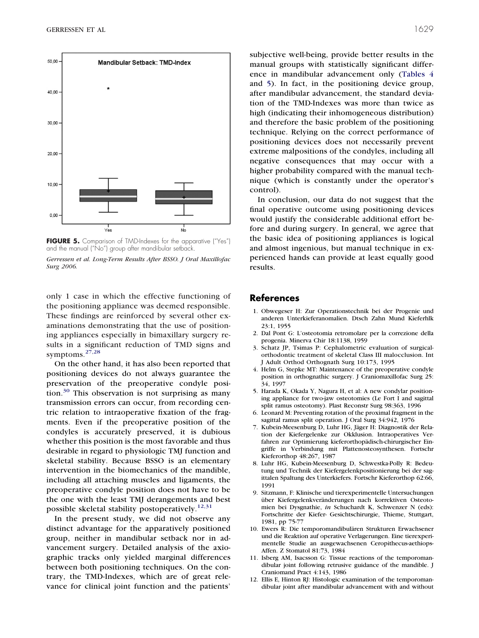<span id="page-5-0"></span>

FIGURE 5. Comparison of TMD-Indexes for the apparative ("Yes") and the manual ("No") group after mandibular setback.

*Gerressen et al. Long-Term Results After BSSO. J Oral Maxillofac Surg 2006.*

only 1 case in which the effective functioning of the positioning appliance was deemed responsible. These findings are reinforced by several other examinations demonstrating that the use of positioning appliances especially in bimaxillary surgery results in a significant reduction of TMD signs and symptoms.[27,28](#page-6-0)

On the other hand, it has also been reported that positioning devices do not always guarantee the preservation of the preoperative condyle posi-tion.<sup>[30](#page-6-0)</sup> This observation is not surprising as many transmission errors can occur, from recording centric relation to intraoperative fixation of the fragments. Even if the preoperative position of the condyles is accurately preserved, it is dubious whether this position is the most favorable and thus desirable in regard to physiologic TMJ function and skeletal stability. Because BSSO is an elementary intervention in the biomechanics of the mandible, including all attaching muscles and ligaments, the preoperative condyle position does not have to be the one with the least TMJ derangements and best possible skeletal stability postoperatively.<sup>12,31</sup>

In the present study, we did not observe any distinct advantage for the apparatively positioned group, neither in mandibular setback nor in advancement surgery. Detailed analysis of the axiographic tracks only yielded marginal differences between both positioning techniques. On the contrary, the TMD-Indexes, which are of great relevance for clinical joint function and the patients'

subjective well-being, provide better results in the manual groups with statistically significant difference in mandibular advancement only [\(Tables 4](#page-3-0) and [5\)](#page-4-0). In fact, in the positioning device group, after mandibular advancement, the standard deviation of the TMD-Indexes was more than twice as high (indicating their inhomogeneous distribution) and therefore the basic problem of the positioning technique. Relying on the correct performance of positioning devices does not necessarily prevent extreme malpositions of the condyles, including all negative consequences that may occur with a higher probability compared with the manual technique (which is constantly under the operator's control).

In conclusion, our data do not suggest that the final operative outcome using positioning devices would justify the considerable additional effort before and during surgery. In general, we agree that the basic idea of positioning appliances is logical and almost ingenious, but manual technique in experienced hands can provide at least equally good results.

## **References**

- 1. Obwegeser H: Zur Operationstechnik bei der Progenie und anderen Unterkieferanomalien. Dtsch Zahn Mund Kieferhlk 23:1, 1955
- 2. Dal Pont G: L'osteotomia retromolare per la correzione della progenia. Minerva Chir 18:1138, 1959
- 3. Schatz JP, Tsimas P: Cephalometric evaluation of surgicalorthodontic treatment of skeletal Class III malocclusion. Int J Adult Orthod Orthognath Surg 10:173, 1995
- 4. Helm G, Stepke MT: Maintenance of the preoperative condyle position in orthognathic surgery. J Craniomaxillofac Surg 25: 34, 1997
- 5. Harada K, Okada Y, Nagura H, et al: A new condylar positioning appliance for two-jaw osteotomies (Le Fort I and sagittal split ramus osteotomy). Plast Reconstr Surg 98:363, 1996
- 6. Leonard M: Preventing rotation of the proximal fragment in the sagittal ramus split operation. J Oral Surg 34:942, 1976
- 7. Kubein-Meesenburg D, Luhr HG, Jäger H: Diagnostik der Relation der Kiefergelenke zur Okklusion. Intraoperatives Verfahren zur Optimierung kieferorthopädisch-chirurgischer Eingriffe in Verbindung mit Plattenosteosynthesen. Fortschr Kieferorthop 48:267, 1987
- 8. Luhr HG, Kubein-Meesenburg D, Schwestka-Polly R: Bedeutung und Technik der Kiefergelenkpositionierung bei der sagittalen Spaltung des Unterkiefers. Fortschr Kieferorthop 62:66, 1991
- 9. Sitzmann, F: Klinische und tierexperimentelle Untersuchungen über Kiefergelenkveränderungen nach korrektiven Osteotomien bei Dysgnathie, *in* Schuchardt K, Schwenzer N (eds): Fortschritte der Kiefer- Gesichtschirurgie, Thieme, Stuttgart, 1981, pp 75-77
- 10. Ewers R: Die temporomandibulären Strukturen Erwachsener und die Reaktion auf operative Verlagerungen. Eine tierexperimentelle Studie an ausgewachsenen Ceropithecus-aethiops-Affen. Z Stomatol 81:73, 1984
- 11. Isberg AM, Isacsson G: Tissue reactions of the temporomandibular joint following retrusive guidance of the mandible. J Craniomand Pract 4:143, 1986
- 12. Ellis E, Hinton RJ: Histologic examination of the temporomandibular joint after mandibular advancement with and without